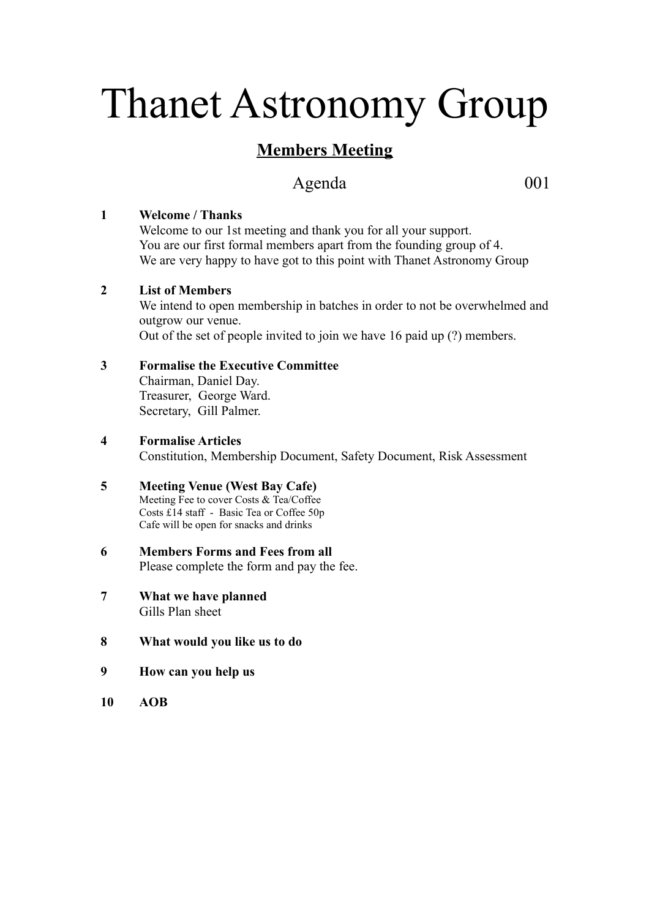# Thanet Astronomy Group

## **Members Meeting**

## Agenda 001

#### **1 Welcome / Thanks**

Welcome to our 1st meeting and thank you for all your support. You are our first formal members apart from the founding group of 4. We are very happy to have got to this point with Thanet Astronomy Group

#### **2 List of Members**

We intend to open membership in batches in order to not be overwhelmed and outgrow our venue. Out of the set of people invited to join we have 16 paid up (?) members.

#### **3 Formalise the Executive Committee**

Chairman, Daniel Day. Treasurer, George Ward. Secretary, Gill Palmer.

**4 Formalise Articles**

Constitution, Membership Document, Safety Document, Risk Assessment

#### **5 Meeting Venue (West Bay Cafe)** Meeting Fee to cover Costs & Tea/Coffee Costs £14 staff - Basic Tea or Coffee 50p Cafe will be open for snacks and drinks

- **6 Members Forms and Fees from all** Please complete the form and pay the fee.
- **7 What we have planned** Gills Plan sheet
- **8 What would you like us to do**
- **9 How can you help us**
- **10 AOB**